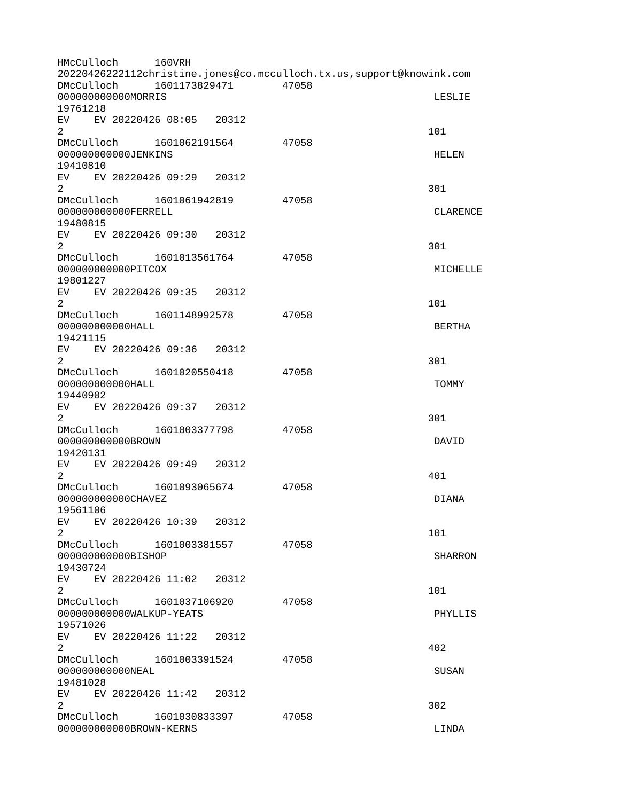HMcCulloch 160VRH 20220426222112christine.jones@co.mcculloch.tx.us,support@knowink.com DMcCulloch 1601173829471 47058 000000000000MORRIS LESLIE 19761218 EV EV 20220426 08:05 20312  $2 \t 101$ DMcCulloch 1601062191564 47058 000000000000JENKINS HELEN 19410810 EV EV 20220426 09:29 20312  $2\,$ DMcCulloch 1601061942819 47058 0000000000000FERRELL CLARENCE 19480815 EV EV 20220426 09:30 20312  $2\,$ DMcCulloch 1601013561764 47058 000000000000PITCOX MICHELLE 19801227 EV EV 20220426 09:35 20312  $2 \t 101$ DMcCulloch 1601148992578 47058 000000000000HALL BERTHA 19421115 EV EV 20220426 09:36 20312  $2\,$ DMcCulloch 1601020550418 47058 000000000000HALL TOMMY 19440902 EV EV 20220426 09:37 20312  $2\,$ DMcCulloch 1601003377798 47058 000000000000BROWN DAVID 19420131 EV EV 20220426 09:49 20312  $2^{401}$ DMcCulloch 1601093065674 47058 0000000000000CHAVEZ DIANA 19561106 EV EV 20220426 10:39 20312  $2 \t 101$ DMcCulloch 1601003381557 47058 000000000000BISHOP SHARRON 19430724 EV EV 20220426 11:02 20312  $2 \t 101$ DMcCulloch 1601037106920 47058 000000000000WALKUP-YEATS PHYLLIS 19571026 EV EV 20220426 11:22 20312  $2^{402}$ DMcCulloch 1601003391524 47058 000000000000NEAL SUSAN 19481028 EV EV 20220426 11:42 20312  $2\overline{)}$  302 DMcCulloch 1601030833397 47058 000000000000BROWN-KERNS LINDA